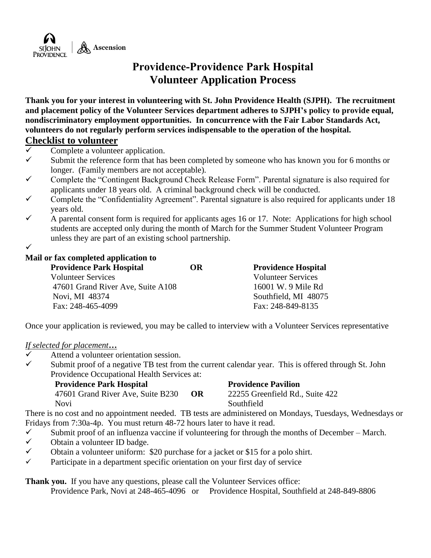

## **Providence-Providence Park Hospital Volunteer Application Process**

**Thank you for your interest in volunteering with St. John Providence Health (SJPH). The recruitment and placement policy of the Volunteer Services department adheres to SJPH's policy to provide equal, nondiscriminatory employment opportunities. In concurrence with the Fair Labor Standards Act, volunteers do not regularly perform services indispensable to the operation of the hospital.**

#### **Checklist to volunteer**

- $\checkmark$  Complete a volunteer application.
- $\checkmark$  Submit the reference form that has been completed by someone who has known you for 6 months or longer. (Family members are not acceptable).
- $\checkmark$  Complete the "Contingent Background Check Release Form". Parental signature is also required for applicants under 18 years old. A criminal background check will be conducted.
- $\checkmark$  Complete the "Confidentiality Agreement". Parental signature is also required for applicants under 18 years old.
- $\checkmark$  A parental consent form is required for applicants ages 16 or 17. Note: Applications for high school students are accepted only during the month of March for the Summer Student Volunteer Program unless they are part of an existing school partnership.

 $\checkmark$ 

#### **Mail or fax completed application to**

| <b>Providence Park Hospital</b>   | <b>OR</b> | <b>Providence Hospital</b> |
|-----------------------------------|-----------|----------------------------|
| <b>Volunteer Services</b>         |           | <b>Volunteer Services</b>  |
| 47601 Grand River Ave, Suite A108 |           | 16001 W. 9 Mile Rd         |
| Novi, MI 48374                    |           | Southfield, MI 48075       |
| Fax: 248-465-4099                 |           | Fax: 248-849-8135          |
|                                   |           |                            |

Once your application is reviewed, you may be called to interview with a Volunteer Services representative

#### *If selected for placement…*

- $\checkmark$  Attend a volunteer orientation session.
- $\checkmark$  Submit proof of a negative TB test from the current calendar year. This is offered through St. John Providence Occupational Health Services at:

| <b>Providence Park Hospital</b>   | <b>Providence Pavilion</b> |                                 |
|-----------------------------------|----------------------------|---------------------------------|
| 47601 Grand River Ave, Suite B230 | OR.                        | 22255 Greenfield Rd., Suite 422 |
| Novi                              |                            | Southfield                      |

There is no cost and no appointment needed. TB tests are administered on Mondays, Tuesdays, Wednesdays or Fridays from 7:30a-4p. You must return 48-72 hours later to have it read.

- $\checkmark$  Submit proof of an influenza vaccine if volunteering for through the months of December March.
- $\checkmark$  Obtain a volunteer ID badge.
- $\checkmark$  Obtain a volunteer uniform: \$20 purchase for a jacket or \$15 for a polo shirt.
- $\checkmark$  Participate in a department specific orientation on your first day of service

**Thank you.** If you have any questions, please call the Volunteer Services office:

Providence Park, Novi at 248-465-4096 or Providence Hospital, Southfield at 248-849-8806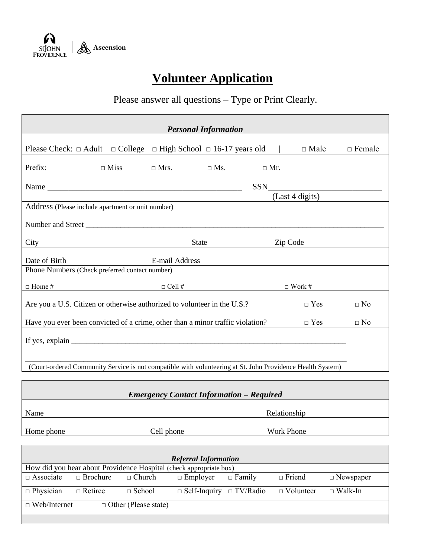

# **Volunteer Application**

# Please answer all questions – Type or Print Clearly.

|               |                                                                                                            |                | <b>Personal Information</b> |            |                   |                 |               |
|---------------|------------------------------------------------------------------------------------------------------------|----------------|-----------------------------|------------|-------------------|-----------------|---------------|
|               | Please Check: $\Box$ Adult $\Box$ College $\Box$ High School $\Box$ 16-17 years old $\Box$ $\Box$ Male     |                |                             |            |                   |                 | $\Box$ Female |
| Prefix:       | $\Box$ Miss                                                                                                | $\Box$ Mrs.    | $\Box$ Ms.                  | $\Box$ Mr. |                   |                 |               |
|               |                                                                                                            |                |                             | SSN 35     |                   |                 |               |
|               | Address (Please include apartment or unit number)                                                          |                |                             |            |                   | (Last 4 digits) |               |
|               |                                                                                                            |                |                             |            |                   |                 |               |
|               |                                                                                                            |                |                             |            |                   |                 |               |
| City          |                                                                                                            |                | <b>State</b>                |            | Zip Code          |                 |               |
|               |                                                                                                            |                |                             |            |                   |                 |               |
| Date of Birth | Phone Numbers (Check preferred contact number)                                                             | E-mail Address |                             |            |                   |                 |               |
|               |                                                                                                            |                |                             |            |                   |                 |               |
| $\Box$ Home # | $\Box$ Work #                                                                                              |                |                             |            |                   |                 |               |
|               | Are you a U.S. Citizen or otherwise authorized to volunteer in the U.S.?                                   |                |                             |            |                   | $\Box$ Yes      | $\Box$ No     |
|               | Have you ever been convicted of a crime, other than a minor traffic violation?                             |                |                             |            |                   | $\Box$ Yes      | $\Box$ No     |
|               | If yes, explain $\frac{1}{\sqrt{1-\frac{1}{2}}\left(\frac{1}{2}-\frac{1}{2}\right)}$                       |                |                             |            |                   |                 |               |
|               |                                                                                                            |                |                             |            |                   |                 |               |
|               | (Court-ordered Community Service is not compatible with volunteering at St. John Providence Health System) |                |                             |            |                   |                 |               |
|               |                                                                                                            |                |                             |            |                   |                 |               |
|               | <b>Emergency Contact Information - Required</b>                                                            |                |                             |            |                   |                 |               |
| Name          |                                                                                                            |                |                             |            | Relationship      |                 |               |
| Home phone    |                                                                                                            | Cell phone     |                             |            | <b>Work Phone</b> |                 |               |

| How did you hear about Providence Hospital (check appropriate box) |               |                 |               |                                                                    |                  |  |
|--------------------------------------------------------------------|---------------|-----------------|---------------|--------------------------------------------------------------------|------------------|--|
| $\Box$ Brochure                                                    | $\Box$ Church | $\Box$ Employer | $\Box$ Family | $\Box$ Friend                                                      | $\Box$ Newspaper |  |
| $\Box$ Retiree                                                     | $\Box$ School |                 |               | $\Box$ Volunteer                                                   | $\Box$ Walk-In   |  |
| $\Box$ Web/Internet<br>$\Box$ Other (Please state)                 |               |                 |               |                                                                    |                  |  |
|                                                                    |               |                 |               | <b>Referral Information</b><br>$\Box$ Self-Inquiry $\Box$ TV/Radio |                  |  |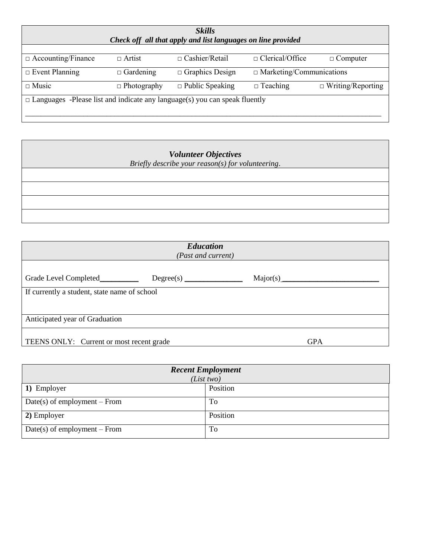| <b>Skills</b><br>Check off all that apply and list languages on line provided     |                    |                        |                                 |                          |  |  |
|-----------------------------------------------------------------------------------|--------------------|------------------------|---------------------------------|--------------------------|--|--|
| $\Box$ Accounting/Finance                                                         | $\Box$ Artist      | $\Box$ Cashier/Retail  | $\Box$ Clerical/Office          | $\Box$ Computer          |  |  |
| $\Box$ Event Planning                                                             | $\Box$ Gardening   | $\Box$ Graphics Design | $\Box$ Marketing/Communications |                          |  |  |
| $\Box$ Music                                                                      | $\Box$ Photography | $\Box$ Public Speaking | $\Box$ Teaching                 | $\Box$ Writing/Reporting |  |  |
| $\Box$ Languages -Please list and indicate any language(s) you can speak fluently |                    |                        |                                 |                          |  |  |

| <b>Volunteer Objectives</b><br>Briefly describe your reason(s) for volunteering. |  |  |  |  |  |
|----------------------------------------------------------------------------------|--|--|--|--|--|
|                                                                                  |  |  |  |  |  |
|                                                                                  |  |  |  |  |  |
|                                                                                  |  |  |  |  |  |
|                                                                                  |  |  |  |  |  |

| <b>Education</b><br>(Past and current)       |  |  |            |  |  |  |
|----------------------------------------------|--|--|------------|--|--|--|
| Grade Level Completed_____________           |  |  |            |  |  |  |
| If currently a student, state name of school |  |  |            |  |  |  |
| Anticipated year of Graduation               |  |  |            |  |  |  |
| TEENS ONLY: Current or most recent grade     |  |  | <b>GPA</b> |  |  |  |

| <b>Recent Employment</b><br>(List two) |          |  |  |
|----------------------------------------|----------|--|--|
| 1) Employer                            | Position |  |  |
| $Date(s)$ of employment – From         | To       |  |  |
| 2) Employer                            | Position |  |  |
| $Date(s)$ of employment – From         | To       |  |  |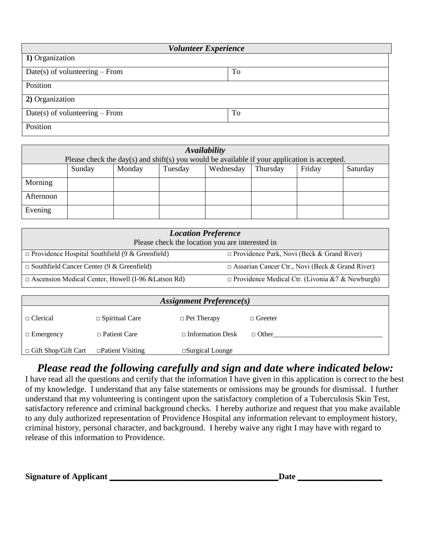| <b>Volunteer Experience</b>      |    |  |  |  |
|----------------------------------|----|--|--|--|
| 1) Organization                  |    |  |  |  |
| Date(s) of volunteering $-$ From | To |  |  |  |
| Position                         |    |  |  |  |
| 2) Organization                  |    |  |  |  |
| $Date(s)$ of volunteering – From | To |  |  |  |
| Position                         |    |  |  |  |

| Availability |                                                                                              |        |         |           |          |        |          |
|--------------|----------------------------------------------------------------------------------------------|--------|---------|-----------|----------|--------|----------|
|              | Please check the day(s) and shift(s) you would be available if your application is accepted. |        |         |           |          |        |          |
|              | Sunday                                                                                       | Monday | Tuesday | Wednesday | Thursday | Friday | Saturday |
| Morning      |                                                                                              |        |         |           |          |        |          |
| Afternoon    |                                                                                              |        |         |           |          |        |          |
| Evening      |                                                                                              |        |         |           |          |        |          |

| <b>Location Preference</b><br>Please check the location you are interested in |                                                        |  |  |  |  |
|-------------------------------------------------------------------------------|--------------------------------------------------------|--|--|--|--|
| $\Box$ Providence Hospital Southfield (9 & Greenfield)                        | $\Box$ Providence Park, Novi (Beck & Grand River)      |  |  |  |  |
| $\Box$ Southfield Cancer Center (9 & Greenfield)                              | $\Box$ Assarian Cancer Ctr., Novi (Beck & Grand River) |  |  |  |  |
| $\Box$ Ascension Medical Center, Howell (I-96 & Latson Rd)                    | $\Box$ Providence Medical Ctr. (Livonia &7 & Newburgh) |  |  |  |  |

| <b>Assignment Preference(s)</b> |                         |                           |                |  |
|---------------------------------|-------------------------|---------------------------|----------------|--|
| $\Box$ Clerical                 | $\Box$ Spiritual Care   | $\Box$ Pet Therapy        | $\Box$ Greeter |  |
| $\Box$ Emergency                | $\Box$ Patient Care     | $\Box$ Information Desk   | $\Box$ Other   |  |
| $\Box$ Gift Shop/Gift Cart      | $\Box$ Patient Visiting | $\square$ Surgical Lounge |                |  |

## *Please read the following carefully and sign and date where indicated below:*

I have read all the questions and certify that the information I have given in this application is correct to the best of my knowledge. I understand that any false statements or omissions may be grounds for dismissal. I further understand that my volunteering is contingent upon the satisfactory completion of a Tuberculosis Skin Test, satisfactory reference and criminal background checks. I hereby authorize and request that you make available to any duly authorized representation of Providence Hospital any information relevant to employment history, criminal history, personal character, and background. I hereby waive any right I may have with regard to release of this information to Providence.

**Signature of Applicant \_\_\_\_\_\_\_\_\_\_\_\_\_\_\_\_\_\_\_\_\_\_\_\_\_\_\_\_\_\_\_\_\_\_\_\_\_\_\_\_Date \_\_\_\_\_\_\_\_\_\_\_\_\_\_\_\_\_\_\_\_**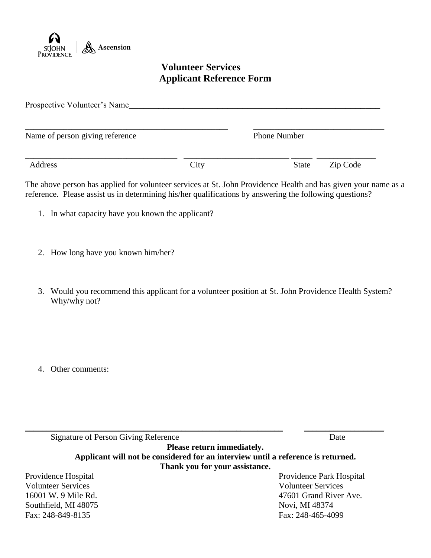

## **Volunteer Services Applicant Reference Form**

| Prospective Volunteer's Name    |      |                     |          |  |
|---------------------------------|------|---------------------|----------|--|
| Name of person giving reference |      | <b>Phone Number</b> |          |  |
| Address                         | City | <b>State</b>        | Zip Code |  |

The above person has applied for volunteer services at St. John Providence Health and has given your name as a reference. Please assist us in determining his/her qualifications by answering the following questions?

- 1. In what capacity have you known the applicant?
- 2. How long have you known him/her?
- 3. Would you recommend this applicant for a volunteer position at St. John Providence Health System? Why/why not?

4. Other comments:

| Signature of Person Giving Reference | Date                                                                             |
|--------------------------------------|----------------------------------------------------------------------------------|
|                                      | Please return immediately.                                                       |
|                                      | Applicant will not be considered for an interview until a reference is returned. |
|                                      | Thank you for your assistance.                                                   |
| Providence Hospital                  | Providence Park Hospital                                                         |
| <b>Volunteer Services</b>            | <b>Volunteer Services</b>                                                        |
| 16001 W. 9 Mile Rd.                  | 47601 Grand River Ave.                                                           |
| Southfield, MI 48075                 | Novi, MI 48374                                                                   |
| Fax: 248-849-8135                    | Fax: 248-465-4099                                                                |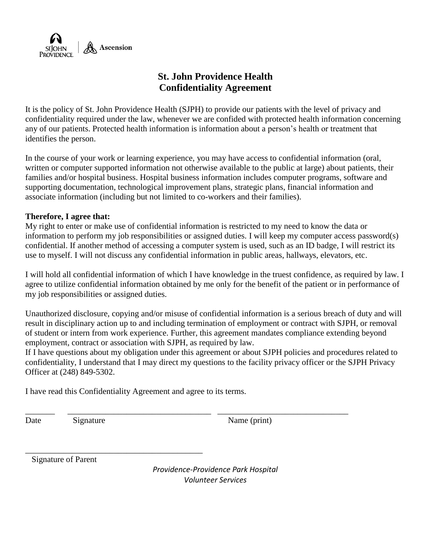

## **St. John Providence Health Confidentiality Agreement**

It is the policy of St. John Providence Health (SJPH) to provide our patients with the level of privacy and confidentiality required under the law, whenever we are confided with protected health information concerning any of our patients. Protected health information is information about a person's health or treatment that identifies the person.

In the course of your work or learning experience, you may have access to confidential information (oral, written or computer supported information not otherwise available to the public at large) about patients, their families and/or hospital business. Hospital business information includes computer programs, software and supporting documentation, technological improvement plans, strategic plans, financial information and associate information (including but not limited to co-workers and their families).

#### **Therefore, I agree that:**

My right to enter or make use of confidential information is restricted to my need to know the data or information to perform my job responsibilities or assigned duties. I will keep my computer access password(s) confidential. If another method of accessing a computer system is used, such as an ID badge, I will restrict its use to myself. I will not discuss any confidential information in public areas, hallways, elevators, etc.

I will hold all confidential information of which I have knowledge in the truest confidence, as required by law. I agree to utilize confidential information obtained by me only for the benefit of the patient or in performance of my job responsibilities or assigned duties.

Unauthorized disclosure, copying and/or misuse of confidential information is a serious breach of duty and will result in disciplinary action up to and including termination of employment or contract with SJPH, or removal of student or intern from work experience. Further, this agreement mandates compliance extending beyond employment, contract or association with SJPH, as required by law.

If I have questions about my obligation under this agreement or about SJPH policies and procedures related to confidentiality, I understand that I may direct my questions to the facility privacy officer or the SJPH Privacy Officer at (248) 849-5302.

\_\_\_\_\_\_\_ \_\_\_\_\_\_\_\_\_\_\_\_\_\_\_\_\_\_\_\_\_\_\_\_\_\_\_\_\_\_\_\_\_\_ \_\_\_\_\_\_\_\_\_\_\_\_\_\_\_\_\_\_\_\_\_\_\_\_\_\_\_\_\_\_\_

I have read this Confidentiality Agreement and agree to its terms.

\_\_\_\_\_\_\_\_\_\_\_\_\_\_\_\_\_\_\_\_\_\_\_\_\_\_\_\_\_\_\_\_\_\_\_\_\_\_\_\_\_\_

Date Signature Name (print)

Signature of Parent

*Providence-Providence Park Hospital Volunteer Services*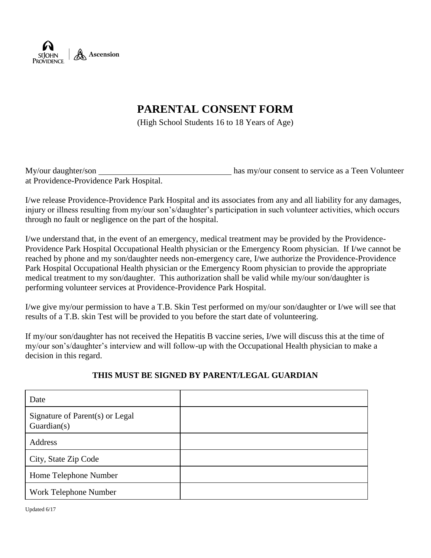

## **PARENTAL CONSENT FORM**

(High School Students 16 to 18 Years of Age)

| My/our daughter/son                     | has my/our consent to service as a Teen Volunteer |
|-----------------------------------------|---------------------------------------------------|
| at Providence-Providence Park Hospital. |                                                   |

I/we release Providence-Providence Park Hospital and its associates from any and all liability for any damages, injury or illness resulting from my/our son's/daughter's participation in such volunteer activities, which occurs through no fault or negligence on the part of the hospital.

I/we understand that, in the event of an emergency, medical treatment may be provided by the Providence-Providence Park Hospital Occupational Health physician or the Emergency Room physician. If I/we cannot be reached by phone and my son/daughter needs non-emergency care, I/we authorize the Providence-Providence Park Hospital Occupational Health physician or the Emergency Room physician to provide the appropriate medical treatment to my son/daughter. This authorization shall be valid while my/our son/daughter is performing volunteer services at Providence-Providence Park Hospital.

I/we give my/our permission to have a T.B. Skin Test performed on my/our son/daughter or I/we will see that results of a T.B. skin Test will be provided to you before the start date of volunteering.

If my/our son/daughter has not received the Hepatitis B vaccine series, I/we will discuss this at the time of my/our son's/daughter's interview and will follow-up with the Occupational Health physician to make a decision in this regard.

#### **THIS MUST BE SIGNED BY PARENT/LEGAL GUARDIAN**

| Date                                           |  |
|------------------------------------------------|--|
| Signature of Parent(s) or Legal<br>Guardian(s) |  |
| Address                                        |  |
| City, State Zip Code                           |  |
| Home Telephone Number                          |  |
| Work Telephone Number                          |  |

Updated 6/17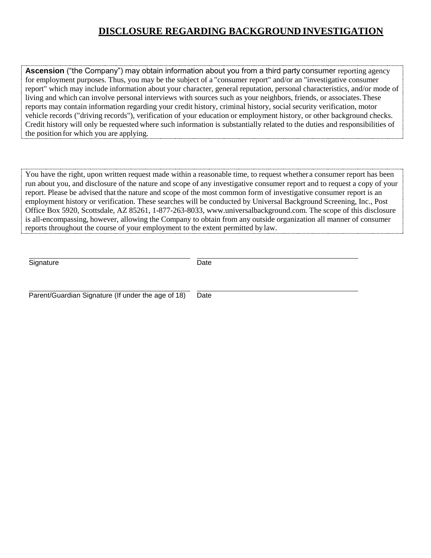### **DISCLOSURE REGARDING BACKGROUND INVESTIGATION**

**Ascension** ("the Company") may obtain information about you from a third party consumer reporting agency for employment purposes. Thus, you may be the subject of a "consumer report" and/or an "investigative consumer report" which may include information about your character, general reputation, personal characteristics, and/or mode of living and which can involve personal interviews with sources such as your neighbors, friends, or associates.These reports may contain information regarding your credit history, criminal history, social security verification, motor vehicle records ("driving records"), verification of your education or employment history, or other background checks. Credit history will only be requested where such information is substantially related to the duties and responsibilities of the position for which you are applying.

You have the right, upon written request made within a reasonable time, to request whether a consumer report has been run about you, and disclosure of the nature and scope of any investigative consumer report and to request a copy of your report. Please be advised that the nature and scope of the most common form of investigative consumer report is an employment history or verification. These searches will be conducted by Universal Background Screening, Inc., Post Office Box 5920, Scottsdale, AZ 85261, 1-877-263-8033, [www.universalbackground.com.](http://www.universalbackground.com/) The scope of this disclosure is all-encompassing, however, allowing the Company to obtain from any outside organization all manner of consumer reports throughout the course of your employment to the extent permitted by law.

Signature Date Date

Parent/Guardian Signature (If under the age of 18) Date